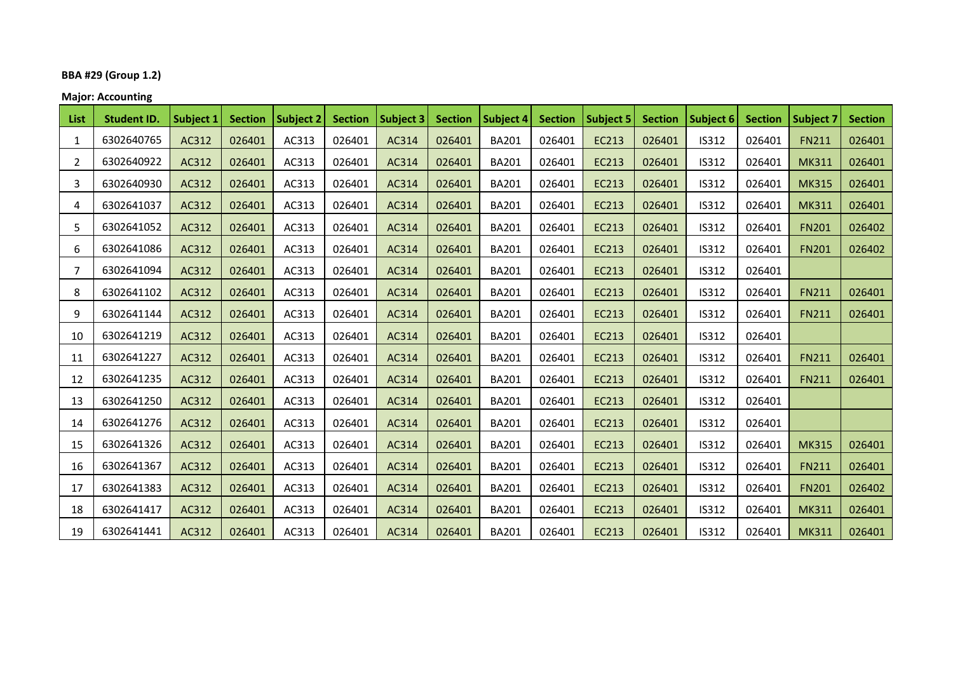# **BBA #29 (Group 1.2)**

**Major: Accounting**

| List           | <b>Student ID.</b> | <b>Subject 1</b> | <b>Section</b> | <b>Subject 2</b> | <b>Section</b> | <b>Subject 3</b> | <b>Section</b> | <b>Subject 4</b> | <b>Section</b> | <b>Subject 5</b> | <b>Section</b> | Subject 6    | <b>Section</b> | <b>Subject 7</b> | <b>Section</b> |
|----------------|--------------------|------------------|----------------|------------------|----------------|------------------|----------------|------------------|----------------|------------------|----------------|--------------|----------------|------------------|----------------|
| 1              | 6302640765         | AC312            | 026401         | AC313            | 026401         | AC314            | 026401         | <b>BA201</b>     | 026401         | <b>EC213</b>     | 026401         | <b>IS312</b> | 026401         | <b>FN211</b>     | 026401         |
| $\overline{2}$ | 6302640922         | AC312            | 026401         | AC313            | 026401         | AC314            | 026401         | <b>BA201</b>     | 026401         | <b>EC213</b>     | 026401         | IS312        | 026401         | <b>MK311</b>     | 026401         |
| 3              | 6302640930         | AC312            | 026401         | AC313            | 026401         | AC314            | 026401         | <b>BA201</b>     | 026401         | <b>EC213</b>     | 026401         | <b>IS312</b> | 026401         | <b>MK315</b>     | 026401         |
| 4              | 6302641037         | AC312            | 026401         | AC313            | 026401         | AC314            | 026401         | <b>BA201</b>     | 026401         | <b>EC213</b>     | 026401         | <b>IS312</b> | 026401         | <b>MK311</b>     | 026401         |
| 5              | 6302641052         | AC312            | 026401         | AC313            | 026401         | AC314            | 026401         | <b>BA201</b>     | 026401         | <b>EC213</b>     | 026401         | IS312        | 026401         | <b>FN201</b>     | 026402         |
| 6              | 6302641086         | AC312            | 026401         | AC313            | 026401         | AC314            | 026401         | <b>BA201</b>     | 026401         | <b>EC213</b>     | 026401         | <b>IS312</b> | 026401         | <b>FN201</b>     | 026402         |
| 7              | 6302641094         | AC312            | 026401         | AC313            | 026401         | AC314            | 026401         | <b>BA201</b>     | 026401         | <b>EC213</b>     | 026401         | IS312        | 026401         |                  |                |
| 8              | 6302641102         | AC312            | 026401         | AC313            | 026401         | AC314            | 026401         | <b>BA201</b>     | 026401         | <b>EC213</b>     | 026401         | IS312        | 026401         | <b>FN211</b>     | 026401         |
| 9              | 6302641144         | AC312            | 026401         | AC313            | 026401         | AC314            | 026401         | <b>BA201</b>     | 026401         | <b>EC213</b>     | 026401         | <b>IS312</b> | 026401         | <b>FN211</b>     | 026401         |
| 10             | 6302641219         | AC312            | 026401         | AC313            | 026401         | AC314            | 026401         | <b>BA201</b>     | 026401         | <b>EC213</b>     | 026401         | IS312        | 026401         |                  |                |
| 11             | 6302641227         | AC312            | 026401         | AC313            | 026401         | AC314            | 026401         | <b>BA201</b>     | 026401         | <b>EC213</b>     | 026401         | IS312        | 026401         | <b>FN211</b>     | 026401         |
| 12             | 6302641235         | AC312            | 026401         | AC313            | 026401         | AC314            | 026401         | <b>BA201</b>     | 026401         | <b>EC213</b>     | 026401         | <b>IS312</b> | 026401         | <b>FN211</b>     | 026401         |
| 13             | 6302641250         | AC312            | 026401         | AC313            | 026401         | AC314            | 026401         | <b>BA201</b>     | 026401         | <b>EC213</b>     | 026401         | <b>IS312</b> | 026401         |                  |                |
| 14             | 6302641276         | AC312            | 026401         | AC313            | 026401         | AC314            | 026401         | <b>BA201</b>     | 026401         | <b>EC213</b>     | 026401         | IS312        | 026401         |                  |                |
| 15             | 6302641326         | AC312            | 026401         | AC313            | 026401         | AC314            | 026401         | <b>BA201</b>     | 026401         | <b>EC213</b>     | 026401         | <b>IS312</b> | 026401         | <b>MK315</b>     | 026401         |
| 16             | 6302641367         | AC312            | 026401         | AC313            | 026401         | AC314            | 026401         | <b>BA201</b>     | 026401         | <b>EC213</b>     | 026401         | IS312        | 026401         | <b>FN211</b>     | 026401         |
| 17             | 6302641383         | AC312            | 026401         | AC313            | 026401         | AC314            | 026401         | <b>BA201</b>     | 026401         | <b>EC213</b>     | 026401         | IS312        | 026401         | <b>FN201</b>     | 026402         |
| 18             | 6302641417         | AC312            | 026401         | AC313            | 026401         | AC314            | 026401         | <b>BA201</b>     | 026401         | <b>EC213</b>     | 026401         | <b>IS312</b> | 026401         | <b>MK311</b>     | 026401         |
| 19             | 6302641441         | AC312            | 026401         | AC313            | 026401         | AC314            | 026401         | <b>BA201</b>     | 026401         | <b>EC213</b>     | 026401         | IS312        | 026401         | <b>MK311</b>     | 026401         |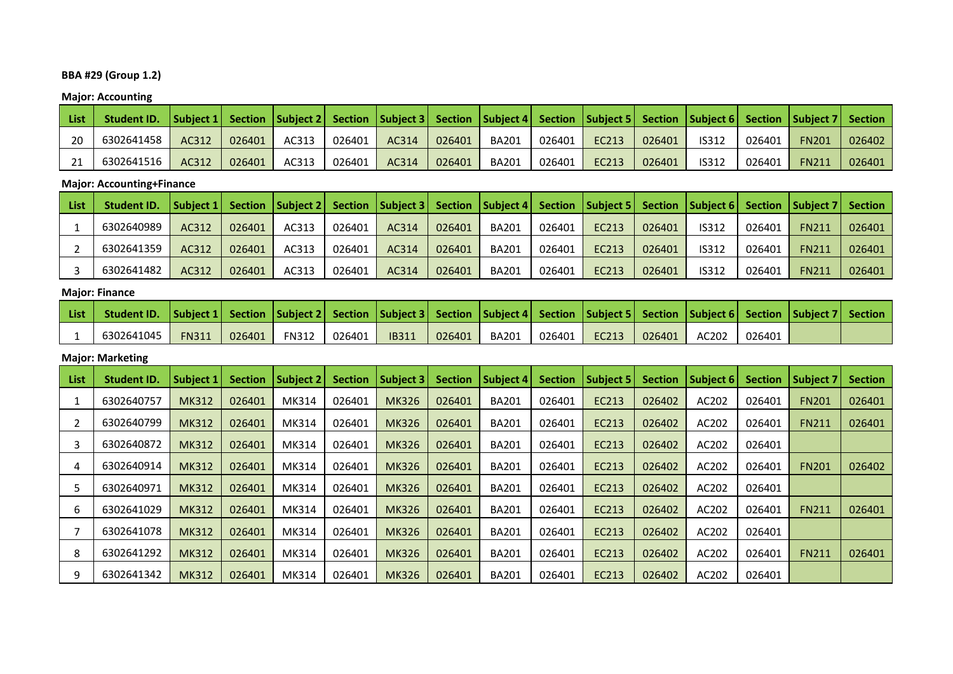# **BBA #29 (Group 1.2)**

**Major: Accounting**

| <b>List</b> | Student ID. Subject 1   Section   Subject 2   Section   Subject 3   Section   Subject 4   Section   Subject 5   Section   Subject 6   Section   Subject 7   Section   Subject 7   Section   Subject 7   Section   Subject 7 |       |        |       |        |       |        |              |        |       |        |              |        |              |        |
|-------------|-----------------------------------------------------------------------------------------------------------------------------------------------------------------------------------------------------------------------------|-------|--------|-------|--------|-------|--------|--------------|--------|-------|--------|--------------|--------|--------------|--------|
| 20          | 6302641458                                                                                                                                                                                                                  | AC312 | 026401 | AC313 | 026401 | AC314 | 026401 | BA201        | 026401 | EC213 | 026401 | <b>IS312</b> | 026401 | <b>FN201</b> | 026402 |
| 21          | 6302641516                                                                                                                                                                                                                  | AC312 | 026401 | AC313 | 026401 | AC314 | 026401 | <b>BA201</b> | 026401 | EC213 | 026401 | <b>IS312</b> | 026401 | <b>FN211</b> | 026401 |

## **Major: Accounting+Finance**

| <b>List</b> | <b>Student ID.</b> |       |        |       |        | Subject 1   Section   Subject 2   Section   Subject 3   Section   Subject 4   Section   Subject 5   Section   Subject 6   Section   Subject 7   Section |        |              |        |       |        |              |        |              |        |
|-------------|--------------------|-------|--------|-------|--------|---------------------------------------------------------------------------------------------------------------------------------------------------------|--------|--------------|--------|-------|--------|--------------|--------|--------------|--------|
|             | 6302640989         | AC312 | 026401 | AC313 | 026401 | AC314                                                                                                                                                   | 026401 | <b>BA201</b> | 026401 | EC213 | 026401 | IS312        | 026401 | <b>FN211</b> | 026401 |
|             | 6302641359         | AC312 | 026401 | AC313 | 026401 | AC314                                                                                                                                                   | 026401 | <b>BA201</b> | 026401 | EC213 | 026401 | IS312        | 026401 | <b>FN211</b> | 026401 |
|             | 6302641482         | AC312 | 026401 | AC313 | 026401 | AC314                                                                                                                                                   | 026401 | <b>BA201</b> | 026401 | EC213 | 026401 | <b>IS312</b> | 026401 | <b>FN211</b> | 026401 |

# **Major: Finance**

| List | Student ID.  Subject 1  Section  Subject 2  Section  Subject 3  Section  Subject 4  Section  Subject 5  Section  Subject 6  Section  Subject 7  Section |              |        |                |              |        |       |        |       |        |       |        |  |
|------|---------------------------------------------------------------------------------------------------------------------------------------------------------|--------------|--------|----------------|--------------|--------|-------|--------|-------|--------|-------|--------|--|
|      | 6302641045                                                                                                                                              | <b>FN311</b> | 026401 | FN312   026401 | <b>IB311</b> | 026401 | BA201 | 026401 | EC213 | 026401 | AC202 | 026401 |  |

# **Major: Marketing**

| <b>List</b> | <b>Student ID.</b> | <b>Subject 1</b> | <b>Section</b> | Subject 2 | <b>Section</b> | Subject 3    | <b>Section</b> | <b>Subject 4</b> | <b>Section</b> | Subject 5 | <b>Section</b> | Subject 6 | <b>Section</b> | <b>Subject 7</b> | <b>Section</b> |
|-------------|--------------------|------------------|----------------|-----------|----------------|--------------|----------------|------------------|----------------|-----------|----------------|-----------|----------------|------------------|----------------|
|             | 6302640757         | <b>MK312</b>     | 026401         | MK314     | 026401         | <b>MK326</b> | 026401         | <b>BA201</b>     | 026401         | EC213     | 026402         | AC202     | 026401         | <b>FN201</b>     | 026401         |
|             | 6302640799         | <b>MK312</b>     | 026401         | MK314     | 026401         | <b>MK326</b> | 026401         | <b>BA201</b>     | 026401         | EC213     | 026402         | AC202     | 026401         | <b>FN211</b>     | 026401         |
|             | 6302640872         | <b>MK312</b>     | 026401         | MK314     | 026401         | <b>MK326</b> | 026401         | <b>BA201</b>     | 026401         | EC213     | 026402         | AC202     | 026401         |                  |                |
|             | 6302640914         | <b>MK312</b>     | 026401         | MK314     | 026401         | <b>MK326</b> | 026401         | <b>BA201</b>     | 026401         | EC213     | 026402         | AC202     | 026401         | <b>FN201</b>     | 026402         |
|             | 6302640971         | <b>MK312</b>     | 026401         | MK314     | 026401         | <b>MK326</b> | 026401         | <b>BA201</b>     | 026401         | EC213     | 026402         | AC202     | 026401         |                  |                |
| 6           | 6302641029         | <b>MK312</b>     | 026401         | MK314     | 026401         | <b>MK326</b> | 026401         | <b>BA201</b>     | 026401         | EC213     | 026402         | AC202     | 026401         | <b>FN211</b>     | 026401         |
|             | 6302641078         | <b>MK312</b>     | 026401         | MK314     | 026401         | <b>MK326</b> | 026401         | <b>BA201</b>     | 026401         | EC213     | 026402         | AC202     | 026401         |                  |                |
| 8           | 6302641292         | <b>MK312</b>     | 026401         | MK314     | 026401         | <b>MK326</b> | 026401         | <b>BA201</b>     | 026401         | EC213     | 026402         | AC202     | 026401         | <b>FN211</b>     | 026401         |
| 9           | 6302641342         | <b>MK312</b>     | 026401         | MK314     | 026401         | <b>MK326</b> | 026401         | <b>BA201</b>     | 026401         | EC213     | 026402         | AC202     | 026401         |                  |                |